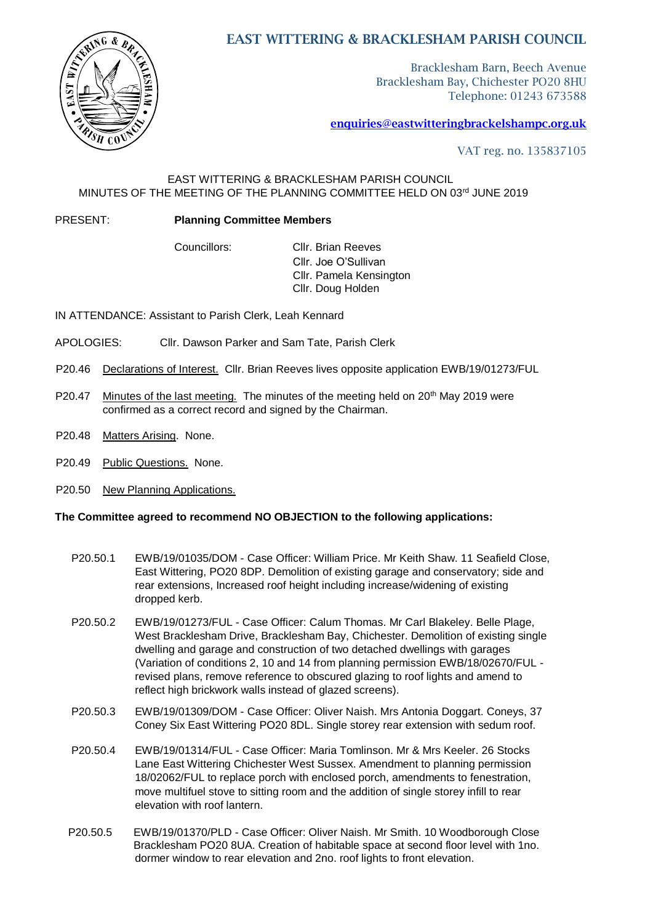

# EAST WITTERING & BRACKLESHAM PARISH COUNCIL

Bracklesham Barn, Beech Avenue Bracklesham Bay, Chichester PO20 8HU Telephone: 01243 673588

## enquiries@eastwitteringbrackelshampc.org.uk

VAT reg. no. 135837105

## EAST WITTERING & BRACKLESHAM PARISH COUNCIL MINUTES OF THE MEETING OF THE PLANNING COMMITTEE HELD ON 03rd JUNE 2019

## PRESENT: **Planning Committee Members**

 Councillors: Cllr. Brian Reeves Cllr. Joe O'Sullivan Cllr. Pamela Kensington Cllr. Doug Holden

IN ATTENDANCE: Assistant to Parish Clerk, Leah Kennard

- APOLOGIES: Cllr. Dawson Parker and Sam Tate, Parish Clerk
- P20.46 Declarations of Interest. Cllr. Brian Reeves lives opposite application EWB/19/01273/FUL
- P20.47 Minutes of the last meeting. The minutes of the meeting held on 20<sup>th</sup> May 2019 were confirmed as a correct record and signed by the Chairman.
- P20.48 Matters Arising. None.
- P20.49 Public Questions. None.
- P20.50 New Planning Applications.

## **The Committee agreed to recommend NO OBJECTION to the following applications:**

- P20.50.1 EWB/19/01035/DOM Case Officer: William Price. Mr Keith Shaw. 11 Seafield Close, East Wittering, PO20 8DP. Demolition of existing garage and conservatory; side and rear extensions, Increased roof height including increase/widening of existing dropped kerb.
- P20.50.2 EWB/19/01273/FUL Case Officer: Calum Thomas. Mr Carl Blakeley. Belle Plage, West Bracklesham Drive, Bracklesham Bay, Chichester. Demolition of existing single dwelling and garage and construction of two detached dwellings with garages (Variation of conditions 2, 10 and 14 from planning permission EWB/18/02670/FUL revised plans, remove reference to obscured glazing to roof lights and amend to reflect high brickwork walls instead of glazed screens).
- P20.50.3 EWB/19/01309/DOM Case Officer: Oliver Naish. Mrs Antonia Doggart. Coneys, 37 Coney Six East Wittering PO20 8DL. Single storey rear extension with sedum roof.
- P20.50.4 EWB/19/01314/FUL Case Officer: Maria Tomlinson. Mr & Mrs Keeler. 26 Stocks Lane East Wittering Chichester West Sussex. Amendment to planning permission 18/02062/FUL to replace porch with enclosed porch, amendments to fenestration, move multifuel stove to sitting room and the addition of single storey infill to rear elevation with roof lantern.
- P20.50.5 EWB/19/01370/PLD Case Officer: Oliver Naish. Mr Smith. 10 Woodborough Close Bracklesham PO20 8UA. Creation of habitable space at second floor level with 1no. dormer window to rear elevation and 2no. roof lights to front elevation.